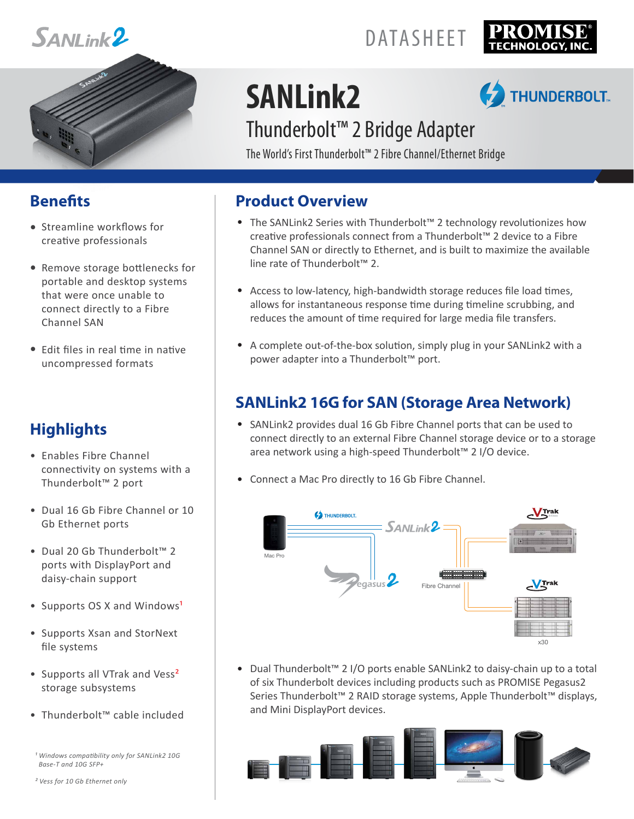



## DATASHEET



# **SANLink2**

## **THUNDERBOLT**

## Thunderbolt™ 2 Bridge Adapter

The World's First Thunderbolt™ 2 Fibre Channel/Ethernet Bridge

#### **Benets**

- **•** Streamline workflows for creative professionals
- Remove storage bottlenecks for **•** portable and desktop systems that were once unable to connect directly to a Fibre Channel SAN
- Edit files in real time in native **•** uncompressed formats

### **Highlights**

- Enables Fibre Channel connectivity on systems with a Thunderbolt™ 2 port
- Dual 16 Gb Fibre Channel or 10 Gb Ethernet ports
- Dual 20 Gb Thunderbolt™ 2 ports with DisplayPort and daisy-chain support
- Supports OS X and Windows<sup>1</sup>
- Supports Xsan and StorNext file systems
- Supports all VTrak and Vess<sup>2</sup> storage subsystems
- Thunderbolt™ cable included
- *¹ Windows compatibility only for SANLink2 10G Base-T and 10G SFP+*

*² Vess for 10 Gb Ethernet only*

#### **Product Overview**

- **•** The SANLink2 Series with Thunderbolt™ 2 technology revolutionizes how creative professionals connect from a Thunderbolt™ 2 device to a Fibre Channel SAN or directly to Ethernet, and is built to maximize the available line rate of Thunderbolt™ 2.
- **•** Access to low-latency, high-bandwidth storage reduces file load times, allows for instantaneous response time during timeline scrubbing, and reduces the amount of time required for large media file transfers.
- **•** A complete out-of-the-box solution, simply plug in your SANLink2 with a power adapter into a Thunderbolt<sup>™</sup> port.

### **SANLink2 16G for SAN (Storage Area Network)**

- SANLink2 provides dual 16 Gb Fibre Channel ports that can be used to **•** connect directly to an external Fibre Channel storage device or to a storage area network using a high-speed Thunderbolt™ 2 I/O device.
- Connect a Mac Pro directly to 16 Gb Fibre Channel. **•**



Dual Thunderbolt™ 2 I/O ports enable SANLink2 to daisy-chain up to a total **•** of six Thunderbolt devices including products such as PROMISE Pegasus2 Series Thunderbolt™ 2 RAID storage systems, Apple Thunderbolt™ displays, and Mini DisplayPort devices.